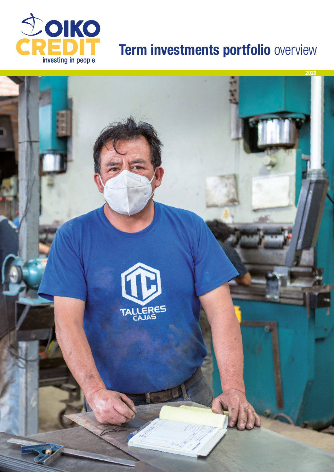

# Term investments portfolio overview

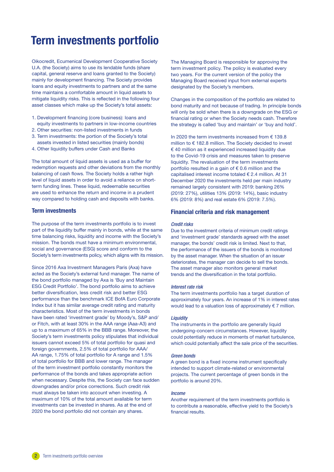# Term investments portfolio

Oikocredit, Ecumenical Development Cooperative Society U.A. (the Society) aims to use its lendable funds (share capital, general reserve and loans granted to the Society) mainly for development financing. The Society provides loans and equity investments to partners and at the same time maintains a comfortable amount in liquid assets to mitigate liquidity risks. This is reflected in the following four asset classes which make up the Society's total assets:

- 1. Development financing (core business): loans and equity investments to partners in low-income countries
- 2. Other securities: non-listed investments in funds
- 3. Term investments: the portion of the Society's total assets invested in listed securities (mainly bonds)
- 4. Other liquidity buffers under Cash and Banks

The total amount of liquid assets is used as a buffer for redemption requests and other deviations from the monthly balancing of cash flows. The Society holds a rather high level of liquid assets in order to avoid a reliance on shortterm funding lines. These liquid, redeemable securities are used to enhance the return and income in a prudent way compared to holding cash and deposits with banks.

### Term investments

The purpose of the term investments portfolio is to invest part of the liquidity buffer mainly in bonds, while at the same time balancing risks, liquidity and income with the Society's mission. The bonds must have a minimum environmental, social and governance (ESG) score and conform to the Society's term investments policy, which aligns with its mission.

Since 2016 Axa Investment Managers Paris (Axa) have acted as the Society's external fund manager. The name of the bond portfolio managed by Axa is 'Buy and Maintain ESG Credit Portfolio'. The bond portfolio aims to achieve better diversification, less credit risk and better ESG performance than the benchmark ICE BofA Euro Corporate Index but it has similar average credit rating and maturity characteristics. Most of the term investments in bonds have been rated 'investment grade' by Moody's, S&P and/ or Fitch, with at least 30% in the AAA range (Aaa-A3) and up to a maximum of 65% in the BBB range. Moreover, the Society's term investments policy stipulates that individual issuers cannot exceed 5% of total portfolio for quasi and foreign governments, 2.5% of total portfolio for AAA/ AA range, 1.75% of total portfolio for A range and 1.5% of total portfolio for BBB and lower range. The manager of the term investment portfolio constantly monitors the performance of the bonds and takes appropriate action when necessary. Despite this, the Society can face sudden downgrades and/or price corrections. Such credit risk must always be taken into account when investing. A maximum of 10% of the total amount available for term investments can be invested in shares. As at the end of 2020 the bond portfolio did not contain any shares.

The Managing Board is responsible for approving the term investment policy. The policy is evaluated every two years. For the current version of the policy the Managing Board received input from external experts designated by the Society's members.

Changes in the composition of the portfolio are related to bond maturity and not because of trading. In principle bonds will only be sold when there is a downgrade on the ESG or financial rating or when the Society needs cash. Therefore the strategy is called 'buy and maintain' or 'buy and hold'.

In 2020 the term investments increased from € 139.8 million to € 182.8 million. The Society decided to invest € 40 million as it experienced increased liquidity due to the Covid-19 crisis and measures taken to preserve liquidity. The revaluation of the term investments portfolio resulted in a gain of € 0.6 million and the capitalised interest income totaled € 2.4 million. At 31 December 2020 the investments held per main industry remained largely consistent with 2019: banking 26% (2019: 27%), utilities 13% (2019: 14%), basic industry 6% (2019: 8%) and real estate 6% (2019: 7.5%).

#### Financial criteria and risk management

#### *Credit risks*

Due to the investment criteria of minimum credit ratings and 'investment grade' standards agreed with the asset manager, the bonds' credit risk is limited. Next to that, the performance of the issuers of the bonds is monitored by the asset manager. When the situation of an issuer deteriorates, the manager can decide to sell the bonds. The asset manager also monitors general market trends and the diversification in the total portfolio.

#### *Interest rate risk*

The term investments portfolio has a target duration of approximately four years. An increase of 1% in interest rates would lead to a valuation loss of approximately € 7 million.

#### *Liquidity*

The instruments in the portfolio are generally liquid undergoing-concern circumstances. However, liquidity could potentially reduce in moments of market turbulence, which could potentially affect the sale price of the securities.

#### *Green bonds*

A green bond is a fixed income instrument specifically intended to support climate-related or environmental projects. The current percentage of green bonds in the portfolio is around 20%.

#### *Income*

Another requirement of the term investments portfolio is to contribute a reasonable, effective yield to the Society's financial results.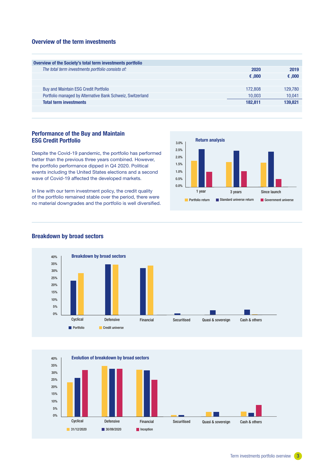## Overview of the term investments

| Overview of the Society's total term investments portfolio |         |         |  |  |
|------------------------------------------------------------|---------|---------|--|--|
| The total term investments portfolio consists of:          | 2020    | 2019    |  |  |
|                                                            | 6.000   | 6,000   |  |  |
|                                                            |         |         |  |  |
| <b>Buy and Maintain ESG Credit Portfolio</b>               | 172.808 | 129,780 |  |  |
| Portfolio managed by Alternative Bank Schweiz, Switzerland | 10.003  | 10,041  |  |  |
| <b>Total term investments</b>                              | 182.811 | 139,821 |  |  |
|                                                            |         |         |  |  |

# Performance of the Buy and Maintain ESG Credit Portfolio

Despite the Covid-19 pandemic, the portfolio has performed better than the previous three years combined. However, the portfolio performance dipped in Q4 2020. Political events including the United States elections and a second wave of Covid-19 affected the developed markets.

In line with our term investment policy, the credit quality of the portfolio remained stable over the period, there were no material downgrades and the portfolio is well diversified.



# Breakdown by broad sectors



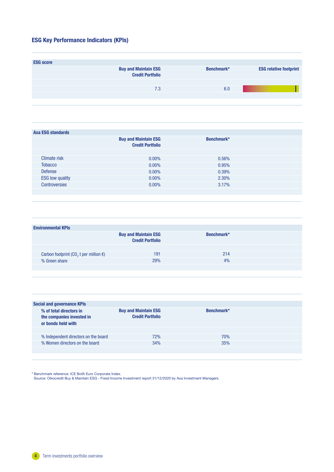# ESG Key Performance Indicators (KPIs)

| <b>ESG</b> score |                                                        |            |                               |
|------------------|--------------------------------------------------------|------------|-------------------------------|
|                  | <b>Buy and Maintain ESG</b><br><b>Credit Portfolio</b> | Benchmark* | <b>ESG relative footprint</b> |
|                  |                                                        |            |                               |
|                  | 7.3                                                    | 6.0        |                               |
|                  |                                                        |            |                               |
|                  |                                                        |            |                               |

| <b>Axa ESG standards</b> |                                                        |            |  |  |
|--------------------------|--------------------------------------------------------|------------|--|--|
|                          | <b>Buy and Maintain ESG</b><br><b>Credit Portfolio</b> | Benchmark* |  |  |
|                          |                                                        |            |  |  |
| <b>Climate risk</b>      | $0.00\%$                                               | 0.56%      |  |  |
| <b>Tobacco</b>           | $0.00\%$                                               | 0.95%      |  |  |
| <b>Defense</b>           | $0.00\%$                                               | 0.39%      |  |  |
| <b>ESG low quality</b>   | $0.00\%$                                               | 2.30%      |  |  |
| Controversies            | $0.00\%$                                               | 3.17%      |  |  |
|                          |                                                        |            |  |  |

| <b>Environmental KPIs</b>                                    |                                                        |            |  |
|--------------------------------------------------------------|--------------------------------------------------------|------------|--|
|                                                              | <b>Buy and Maintain ESG</b><br><b>Credit Portfolio</b> | Benchmark* |  |
|                                                              |                                                        |            |  |
| Carbon footprint (CO <sub>2</sub> t per million $\epsilon$ ) | 191                                                    | 214        |  |
| % Green share                                                | 29%                                                    | 4%         |  |
|                                                              |                                                        |            |  |

| <b>Social and governance KPIs</b><br>% of total directors in<br>the companies invested in<br>or bonds held with | <b>Buy and Maintain ESG</b><br><b>Credit Portfolio</b> | Benchmark* |  |
|-----------------------------------------------------------------------------------------------------------------|--------------------------------------------------------|------------|--|
| % Independent directors on the board                                                                            | 72%                                                    | <b>70%</b> |  |
| % Women directors on the board                                                                                  | 34%                                                    | 35%        |  |

\* Benchmark reference: ICE BofA Euro Corporate Index.

Source: Oikocredit Buy & Maintain ESG - Fixed Income Investment report 31/12/2020 by Axa Investment Managers.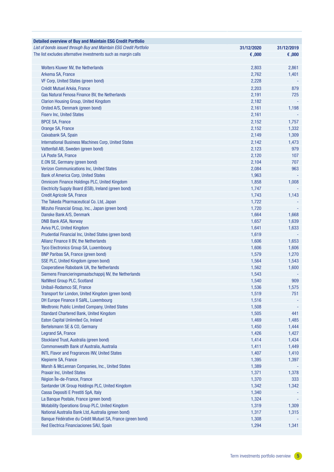| <b>Detailed overview of Buy and Maintain ESG Credit Portfolio</b>                    |            |            |
|--------------------------------------------------------------------------------------|------------|------------|
| List of bonds issued through Buy and Maintain ESG Credit Portfolio                   | 31/12/2020 | 31/12/2019 |
| The list excludes alternative investments such as margin calls                       | $€$ ,000   | 6,000      |
|                                                                                      |            |            |
| <b>Wolters Kluwer NV, the Netherlands</b>                                            | 2,803      | 2,861      |
| Arkema SA, France                                                                    | 2,762      | 1,401      |
| VF Corp, United States (green bond)                                                  | 2,228      |            |
|                                                                                      |            |            |
| Crédit Mutuel Arkéa, France                                                          | 2,203      | 879        |
| Gas Natural Fenosa Finance BV, the Netherlands                                       | 2,191      | 725        |
| <b>Clarion Housing Group, United Kingdom</b>                                         | 2,182      |            |
| Orsted A/S, Denmark (green bond)                                                     | 2,161      | 1,198      |
| <b>Fisery Inc, United States</b>                                                     | 2,161      |            |
| <b>BPCE SA, France</b>                                                               | 2,152      | 1,757      |
| Orange SA, France                                                                    | 2,152      | 1,332      |
| Caixabank SA, Spain                                                                  | 2,149      | 1,309      |
| <b>International Business Machines Corp, United States</b>                           | 2,142      | 1,473      |
| Vattenfall AB, Sweden (green bond)                                                   | 2,123      | 979        |
| LA Poste SA, France                                                                  | 2,120      | 107        |
| E.ON SE, Germany (green bond)                                                        |            |            |
|                                                                                      | 2,104      | 707        |
| Verizon Communications Inc, United States                                            | 2,084      | 963        |
| <b>Bank of America Corp, United States</b>                                           | 1,963      |            |
| <b>Omnicom Finance Holdings PLC, United Kingdom</b>                                  | 1,858      | 1,008      |
| Electricity Supply Board (ESB), Ireland (green bond)                                 | 1,747      |            |
| Credit Agricole SA, France                                                           | 1,743      | 1,143      |
| The Takeda Pharmaceutical Co. Ltd, Japan                                             | 1,722      |            |
| Mizuho Financial Group, Inc., Japan (green bond)                                     | 1,720      |            |
| Danske Bank A/S, Denmark                                                             | 1,664      | 1,668      |
| <b>DNB Bank ASA, Norway</b>                                                          | 1,657      | 1,639      |
| Aviva PLC, United Kingdom                                                            | 1,641      | 1,633      |
| Prudential Financial Inc, United States (green bond)                                 | 1,619      |            |
| Allianz Finance II BV, the Netherlands                                               | 1,606      | 1,653      |
| Tyco Electronics Group SA, Luxembourg                                                | 1,606      | 1,606      |
| <b>BNP Paribas SA, France (green bond)</b>                                           | 1,579      | 1,270      |
| SSE PLC, United Kingdom (green bond)                                                 | 1,564      | 1,543      |
| Cooperatieve Rabobank UA, the Netherlands                                            |            |            |
|                                                                                      | 1,562      | 1,600      |
| Siemens Financieringsmaatschappij NV, the Netherlands<br>NatWest Group PLC, Scotland | 1,543      |            |
|                                                                                      | 1,540      | 909        |
| Unibail-Rodamco SE, France                                                           | 1,536      | 1,575      |
| Transport for London, United Kingdom (green bond)                                    | 1,519      | 751        |
| DH Europe Finance II SàRL, Luxembourg                                                | 1,516      |            |
| Medtronic Public Limited Company, United States                                      | 1,508      |            |
| Standard Chartered Bank, United Kingdom                                              | 1,505      | 441        |
| Eaton Capital Unlimited Co, Ireland                                                  | 1,469      | 1,485      |
| Bertelsmann SE & CO, Germany                                                         | 1,450      | 1,444      |
| Legrand SA, France                                                                   | 1,426      | 1,427      |
| Stockland Trust, Australia (green bond)                                              | 1,414      | 1,434      |
| Commonwealth Bank of Australia, Australia                                            | 1,411      | 1,449      |
| <b>INTL Flavor and Fragrances INV, United States</b>                                 | 1,407      | 1,410      |
| Klepierre SA, France                                                                 | 1,395      | 1,397      |
| Marsh & McLennan Companies, Inc., United States                                      | 1,389      |            |
| <b>Praxair Inc, United States</b>                                                    | 1,371      | 1,378      |
| Région Île-de-France, France                                                         | 1,370      | 333        |
| Santander UK Group Holdings PLC, United Kingdom                                      | 1,342      | 1,342      |
|                                                                                      |            |            |
| Cassa Depositi E Prestiti SpA, Italy                                                 | 1,340      |            |
| La Banque Postale, France (green bond)                                               | 1,324      |            |
| Motability Operations Group PLC, United Kingdom                                      | 1,319      | 1,309      |
| National Australia Bank Ltd, Australia (green bond)                                  | 1,317      | 1,315      |
| Banque Fédérative du Crédit Mutuel SA, France (green bond)                           | 1,308      |            |
| Red Electrica Financiaciones SAU, Spain                                              | 1,294      | 1,341      |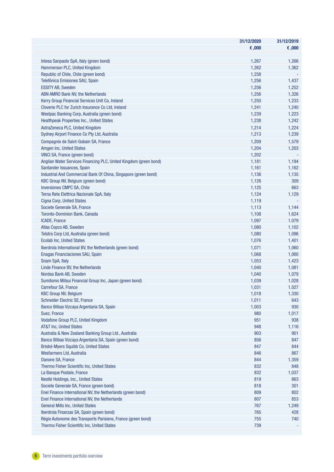|                                                                   | 31/12/2020 | 31/12/2019 |
|-------------------------------------------------------------------|------------|------------|
|                                                                   | €,000      | 6,000      |
|                                                                   |            |            |
| Intesa Sanpaolo SpA, Italy (green bond)                           | 1,267      | 1,266      |
| Hammerson PLC, United Kingdom                                     | 1,262      | 1,362      |
| Republic of Chile, Chile (green bond)                             | 1,258      |            |
| Telefónica Emisiones SAU, Spain                                   | 1,256      | 1,437      |
| <b>ESSITY AB, Sweden</b>                                          | 1,256      | 1,252      |
| ABN AMRO Bank NV, the Netherlands                                 | 1,256      | 1,326      |
| Kerry Group Financial Services UnIt Co, Ireland                   | 1,250      | 1,233      |
| Cloverie PLC for Zurich Insurance Co Ltd, Ireland                 | 1,241      | 1,240      |
| Westpac Banking Corp, Australia (green bond)                      | 1,239      | 1,223      |
| <b>Healthpeak Properties Inc., United States</b>                  | 1,238      | 1,242      |
| AstraZeneca PLC, United Kingdom                                   | 1,214      | 1,224      |
| Sydney Airport Finance Co Pty Ltd, Australia                      | 1,213      | 1,239      |
| Compagnie de Saint-Gobain SA, France                              | 1,209      | 1,579      |
| <b>Amgen Inc, United States</b>                                   | 1,204      | 1,203      |
| <b>VINCI SA, France (green bond)</b>                              | 1,202      |            |
| Anglian Water Services Financing PLC, United Kingdom (green bond) | 1,181      | 1,194      |
| Santander Issuances, Spain                                        | 1,161      | 1,162      |
| Industrial And Commercial Bank Of China, Singapore (green bond)   | 1,136      | 1,135      |
| <b>KBC Group NV, Belgium (green bond)</b>                         | 1,126      | 309        |
| <b>Inversiones CMPC SA, Chile</b>                                 | 1,125      | 663        |
| Terna Rete Elettrica Nazionale SpA, Italy                         | 1,124      | 1,129      |
| <b>Cigna Corp, United States</b>                                  | 1,119      |            |
| Societe Generale SA, France                                       | 1,113      | 1,144      |
| <b>Toronto-Dominion Bank, Canada</b>                              | 1,108      | 1,624      |
| ICADE, France                                                     | 1,097      | 1,079      |
| Atlas Copco AB, Sweden                                            | 1,080      | 1,102      |
| Telstra Corp Ltd, Australia (green bond)                          | 1,080      | 1,096      |
| <b>Ecolab Inc, United States</b>                                  | 1,076      | 1,401      |
| Iberdrola International BV, the Netherlands (green bond)          | 1,071      | 1,060      |
| <b>Enagas Financiaciones SAU, Spain</b>                           | 1,068      | 1,060      |
| Snam SpA, Italy                                                   | 1,053      | 1,423      |
| Linde Finance BV, the Netherlands                                 | 1,040      | 1,081      |
| Nordea Bank AB, Sweden                                            | 1,040      | 1,079      |
| Sumitomo Mitsui Financial Group Inc, Japan (green bond)           | 1,039      | 1,028      |
| <b>Carrefour SA, France</b>                                       | 1,031      | 1,027      |
| <b>KBC Group NV, Belgium</b>                                      | 1,018      | 1,330      |
| Schneider Electric SE, France                                     | 1,011      | 643        |
| Banco Bilbao Vizcaya Argentaria SA, Spain                         | 1,003      | 930        |
| Suez, France                                                      | 980        | 1,017      |
| Vodafone Group PLC, United Kingdom                                | 951        | 938        |
| <b>AT&amp;T Inc, United States</b>                                | 948        | 1,116      |
| Australia & New Zealand Banking Group Ltd., Australia             | 903        | 901        |
| Banco Bilbao Vizcaya Argentaria SA, Spain (green bond)            | 856        | 847        |
| <b>Bristol-Myers Squibb Co, United States</b>                     | 847        | 844        |
| Wesfarmers Ltd, Australia                                         | 846        | 867        |
| Danone SA, France                                                 | 844        | 1,359      |
| Thermo Fisher Scientific Inc, United States                       | 832        | 848        |
| La Banque Postale, France                                         | 832        | 1,037      |
| Nestlé Holdings, Inc., United States                              | 819        | 863        |
| Societe Generale SA, France (green bond)                          | 818        | 301        |
| Enel Finance International NV, the Netherlands (green bond)       | 809        | 802        |
| Enel Finance International NV, the Netherlands                    | 807        | 853        |
| <b>General Mills Inc, United States</b>                           | 767        | 1,249      |
| Iberdrola Finanzas SA, Spain (green bond)                         | 765        | 428        |
| Régie Autonome des Transports Parisiens, France (green bond)      | 755        | 740        |
| Thermo Fisher Scientific Inc, United States                       | 739        |            |
|                                                                   |            |            |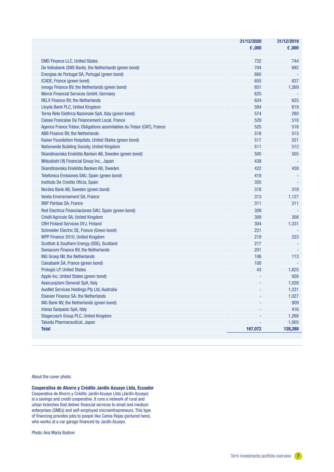|                                                                                                         | 31/12/2020 | 31/12/2019 |
|---------------------------------------------------------------------------------------------------------|------------|------------|
|                                                                                                         | $000,$ 3   | 6,000      |
|                                                                                                         |            |            |
| <b>EMD Finance LLC, United States</b>                                                                   | 722<br>704 | 744<br>692 |
| De Volksbank (SNS Bank), the Netherlands (green bond)<br>Energias de Portugal SA, Portugal (green bond) | 660        |            |
| ICADE, France (green bond)                                                                              | 655        | 637        |
| innogy Finance BV, the Netherlands (green bond)                                                         | 651        | 1,269      |
| <b>Merck Financial Services GmbH, Germany</b>                                                           | 625        |            |
| <b>RELX Finance BV, the Netherlands</b>                                                                 | 624        | 625        |
| Lloyds Bank PLC, United Kingdom                                                                         | 584        | 619        |
| Terna Rete Elettrica Nazionale SpA, Italy (green bond)                                                  | 574        | 280        |
| Caisse Francaise De Financement Local, France                                                           | 529        | 518        |
| Agence France Trésor, Obligations assimilables du Trésor (OAT), France                                  | 525        | 518        |
| ABB Finance BV, the Netherlands                                                                         | 518        | 515        |
| Kaiser Foundation Hospitals, United States (green bond)                                                 | 517        | 521        |
| Nationwide Building Society, United Kingdom                                                             | 511        | 512        |
| Skandinaviska Enskilda Banken AB, Sweden (green bond)                                                   | 505        | 505        |
| Mitsubishi Ufj Financial Group Inc., Japan                                                              | 438        |            |
| Skandinaviska Enskilda Banken AB, Sweden                                                                | 422        | 438        |
| Telefonica Emisiones SAU, Spain (green bond)                                                            | 418        |            |
| Instituto De Credito Oficia, Spain                                                                      | 355        |            |
| Nordea Bank AB, Sweden (green bond)                                                                     | 318        | 318        |
| Veolia Environnement SA, France                                                                         | 313        | 1,127      |
| <b>BNP Paribas SA, France</b>                                                                           | 311        | 311        |
| Red Electrica Financiaciones SAU, Spain (green bond)                                                    | 309        |            |
| Crédit Agricole SA, United Kingdom                                                                      | 309        | 308        |
| <b>CRH Finland Services OYJ, Finland</b>                                                                | 304        | 1,331      |
| Schneider Electric SE, France (Green bond)                                                              | 221        |            |
| WPP Finance 2010, United Kingdom                                                                        | 219        | 223        |
| Scottish & Southern Energy (SSE), Scotland                                                              | 217        |            |
| Swisscom Finance BV, the Netherlands                                                                    | 201        |            |
| <b>ING Groep NV, the Netherlands</b>                                                                    | 106        | 113        |
| Caixabank SA, France (green bond)                                                                       | 100        |            |
| <b>Prologis LP, United States</b>                                                                       | 43         | 1,625      |
| Apple Inc, United States (green bond)                                                                   |            | 926        |
| Assicurazioni Generali SpA, Italy                                                                       |            | 1,028      |
| AusNet Services Holdings Pty Ltd, Australia                                                             |            | 1,231      |
| Elsevier Finance SA, the Netherlands                                                                    |            | 1,027      |
| ING Bank NV, the Netherlands (green bond)                                                               |            | 909        |
| Intesa Sanpaolo SpA, Italy                                                                              |            | 416        |
| Stagecoach Group PLC, United Kingdom                                                                    |            | 1,268      |
| Takeda Pharmaceutical, Japan                                                                            |            | 1,005      |
| <b>Total</b>                                                                                            | 167,072    | 128,288    |
|                                                                                                         |            |            |

About the cover photo:

Cooperativa de Ahorro y Crédito Jardín Azuayo Ltda, Ecuador Cooperativa de Ahorro y Crédito Jardín Azuayo Ltda (Jardín Azuayo) is a savings and credit cooperative. It runs a network of rural and urban branches that deliver financial services to small and medium enterprises (SMEs) and self-employed microentrepreneurs. This type of financing provides jobs to people like Carlos Rojas (pictured here), who works at a car garage financed by Jardín Azuayo.

Photo: Ana Maria Buitron